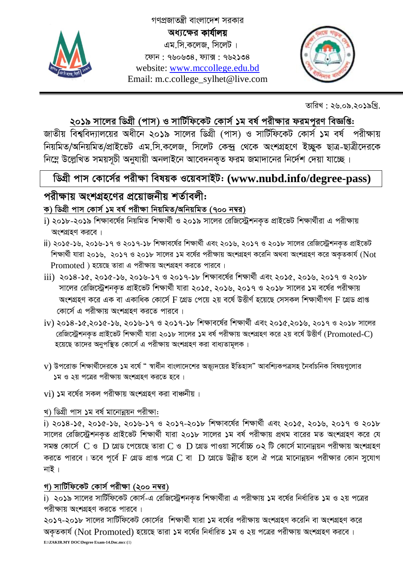

গণপ্রজাতন্ত্রী বাংলাদেশ সরকার অধ্যক্ষের কার্যালয় এম.সি.কলেজ, সিলেট। ফোন: ৭৬০৬৩৪, ফ্যাক্স: ৭৬২১৩৪ website: www.mccollege.edu.bd Email: m.c.college\_sylhet@live.com



তারিখ : ২৬.০৯.২০১৯খ্রি.

## ২০১৯ সালের ডিগ্রী (পাস) ও সার্টিফিকেট কোর্স ১ম বর্ষ পরীক্ষার ফরমপুরণ বিজ্ঞপ্তি:

জাতীয় বিশ্ববিদ্যালয়ের অধীনে ২০১৯ সালের ডিগ্রী (পাস) ও সার্টিফিকেট কোর্স ১ম বর্ষ পরীক্ষায় নিয়মিত/অনিয়মিত/প্রাইভেট এম.সি.কলেজ, সিলেট কেন্দ্র থেকে অংশগ্রহণে ইচ্ছুক ছাত্র-ছাত্রীদেরকে নিম্নে উল্লেখিত সময়সূচী অনুযায়ী অনলাইনে আবেদনকৃত ফরম জমাদানের নির্দেশ দেয়া যাচ্ছে।

## ডিগ্রী পাস কোর্সের পরীক্ষা বিষয়ক ওয়েবসাইট: (www.nubd.info/degree-pass)

## পরীক্ষায় অংশগ্রহণের প্রয়োজনীয় শর্তাবলী: ক) ডিগ্ৰী পাস কোৰ্স ১ম বৰ্ষ পরীক্ষা নিয়মিত/অনিয়মিত (৭০০ নম্বর)

- i) ২০১৮-২০১৯ শিক্ষাবর্ষের নিয়মিত শিক্ষার্থী ও ২০১৯ সালের রেজিস্ট্রেশনকৃত প্রাইভেট শিক্ষার্থীরা এ পরীক্ষায় অংশগ্রহণ করবে।
- ii) ২০১৫-১৬, ২০১৬-১৭ ও ২০১৭-১৮ শিক্ষাবর্ষের শিক্ষার্থী এবং ২০১৬, ২০১৭ ও ২০১৮ সালের রেজিস্ট্রেশনকৃত প্রাইভেট শিক্ষার্থী যারা ২০১৬, ২০১৭ ও ২০১৮ সালের ১ম বর্ষের পরীক্ষায় অংশগ্রহণ করেনি অথবা অংশগ্রহণ করে অকৃতকার্য (Not Promoted) হয়েছে তারা এ পরীক্ষায় অংশগ্রহণ করতে পারবে।
- iii) ২০১৪-১৫, ২০১৫-১৬, ২০১৬-১৭ ও ২০১৭-১৮ শিক্ষাবর্ষের শিক্ষার্থী এবং ২০১৫, ২০১৬, ২০১৭ ও ২০১৮ সালের রেজিস্ট্রেশনকৃত প্রাইভেট শিক্ষার্থী যারা ২০১৫, ২০১৬, ২০১৭ ও ২০১৮ সালের ১ম বর্ষের পরীক্ষায় অংশগ্রহণ করে এক বা একাধিক কোর্সে F গ্রেড পেয়ে ২য় বর্ষে উত্তীর্ণ হয়েছে সেসকল শিক্ষার্থীগণ F গ্রেড প্রাপ্ত কোর্সে এ পরীক্ষায় অংশগ্রহণ করতে পারবে।
- iv) ২০১৪-১৫,২০১৫-১৬, ২০১৬-১৭ ও ২০১৭-১৮ শিক্ষাবর্ষের শিক্ষার্থী এবং ২০১৫,২০১৬, ২০১৭ ও ২০১৮ সালের রেজিস্ট্রেশনকৃত প্রাইভেট শিক্ষার্থী যারা ২০১৮ সালের ১ম বর্ষ পরীক্ষায় অংশগ্রহণ করে ২য় বর্ষে উত্তীর্ণ (Promoted-C) হয়েছে তাদের অনুপস্থিত কোর্সে এ পরীক্ষায় অংশগ্রহণ করা বাধ্যতামূলক।
- $\mathbf v$ ) উপরোক্ত শিক্ষার্থীদেরকে ১ম বর্ষে " স্বার্ধীন বাংলাদেশের অভ্যূদয়ের ইতিহাস" আবশ্যিকপত্রসহ নৈর্বাচনিক বিষয়গুলোর ১ম ও ২য় পত্রের পরীক্ষায় অংশগ্রহণ করতে হবে।
- $vi)$  ১ম বর্ষের সকল পরীক্ষায় অংশগ্রহণ করা বাঞ্চনীয়।

#### খ) ডিগ্ৰী পাস ১ম বৰ্ষ মানোন্নয়ন পরীক্ষা:

i) ২০১৪-১৫, ২০১৫-১৬, ২০১৬-১৭ ও ২০১৭-২০১৮ শিক্ষাবৰ্ষের শিক্ষার্থী এবং ২০১৫, ২০১৬, ২০১৭ ও ২০১৮ সালের রেজিস্ট্রেশনকৃত প্রাইভেট শিক্ষার্থী যারা ২০১৮ সালের ১ম বর্ষ পরীক্ষায় প্রথম বারের মত অংশগ্রহণ করে যে সমস্ত কোর্সে  $C$  ও  $D$  গ্রেড পেয়েছে তারা  $C$  ও  $D$  গ্রেড পাওয়া সর্বোচ্চ ০২ টি কোর্সে মানোন্নয়ন পরীক্ষায় অংশগ্রহণ করতে পারবে। তবে পূর্বে F গ্রেড প্রাপ্ত পত্রে C বা  $\:$  D গ্রেডে উন্নীত হলে ঐ পত্রে মানোন্নয়ন পরীক্ষার কোন সুযোগ নাই ।

#### গ) সার্টিফিকেট কোর্স পরীক্ষা (২০০ নম্বর)

i) ২০১৯ সালের সার্টিফিকেট কোর্স-এ রেজিস্ট্রেশনকৃত শিক্ষার্থীরা এ পরীক্ষায় ১ম বর্ষের নির্ধারিত ১ম ও ২য় পত্রের পরীক্ষায় অংশগ্রহণ করতে পারবে।

২০১৭-২০১৮ সালের সার্টিফিকেট কোর্সের শিক্ষার্থী যারা ১ম বর্ষের পরীক্ষায় অংশগ্রহণ করেনি বা অংশগ্রহণ করে অকৃতকার্য (Not Promoted) হয়েছে তারা ১ম বর্ষের নির্ধারিত ১ম ও ২য় পত্রের পরীক্ষায় অংশগ্রহণ করবে। E:\ZAKIR.MY DOC\Degree Exam-14.Doc.mcc (1)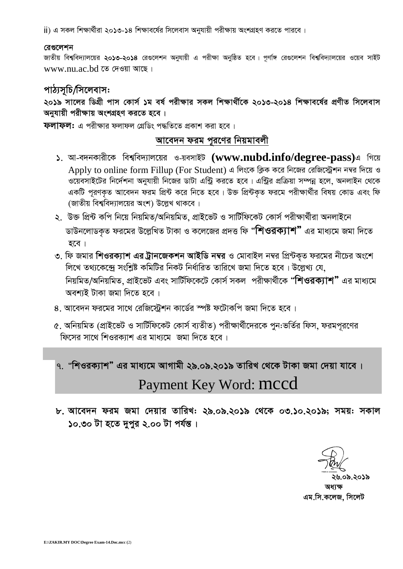jj) এ সকল শিক্ষার্থীরা ২০১৩-১৪ শিক্ষাবর্ষের সিলেবাস অনুযায়ী পরীক্ষায় অংশগ্রহণ করতে পারবে।

#### রেগুলেশন

জাতীয় বিশ্ববিদ্যালয়ের ২০১৩-২০১৪ রেগুলেশন অনুযায়ী এ পরীক্ষা অনুষ্ঠিত হবে। পূর্ণাঙ্গ রেগুলেশন বিশ্ববিদ্যালয়ের ওয়েব সাইট www.nu.ac.bd তে দেওয়া আছে।

#### পাঠ্যসূচি/সিলেবাস:

২০১৯ সালের ডিগ্রী পাস কোর্স ১ম বর্ষ পরীক্ষার সকল শিক্ষার্থীকে ২০১৩-২০১৪ শিক্ষাবর্ষের প্রণীত সিলেবাস অনুযায়ী পরীক্ষায় অংশগ্রহণ করতে হবে।

ফলাফল: এ পরীক্ষার ফলাফল গ্রেডিং পদ্ধতিতে প্রকাশ করা হবে।

#### আবেদন ফরম পুরণের নিয়মাবলী

- ১. আ-বদনকারীকে বিশ্ববিদ্যালয়ের ও-য়বসাইট (www.nubd.info/degree-pass)এ গিয়ে Apply to online form Fillup (For Student) এ লিংকে ক্লিক করে নিজের রেজিস্ট্রেশন নম্বর দিয়ে ও ওয়েবসাইটের নির্দেশনা অনুযায়ী নিজের ডাটা এন্ট্রি করতে হবে। এন্ট্রির প্রক্রিয়া সম্পন্ন হলে, অনলাইন থেকে একটি পূরণকৃত আবেদন ফরম প্রিন্ট করে নিতে হবে। উক্ত প্রিন্টকৃত ফরমে পরীক্ষার্থীর বিষয় কোড এবং ফি (জাতীয় বিশ্ববিদ্যালয়ের অংশ) উল্লেখ থাকবে।
- ২. উক্ত প্রিন্ট কপি নিয়ে নিয়মিত/অনিয়মিত, প্রাইভেট ও সার্টিফিকেট কোর্স পরীক্ষার্থীরা অনলাইনে ডাউনলোডকৃত ফরমের উল্লেখিত টাকা ও কলেজের প্রদত্ত ফি **"শিওরক্যাশ"** এর মাধ্যমে জমা দিতে হবে ।
- ৩. ফি জমার শিওরক্যাশ এর ট্রানজেকশন আইডি নম্বর ও মোবাইল নম্বর প্রিন্টকৃত ফরমের নীচের অংশে লিখে তথ্যকেন্দ্রে সংশ্লিষ্ট কমিটির নিকট নির্ধারিত তারিখে জমা দিতে হবে। উল্লেখ্য যে, নিয়মিত/অনিয়মিত, প্রাইভেট এবং সার্টিফিকেটে কোর্স সকল পরীক্ষার্থীকে "শিওরক্যাশ" এর মাধ্যমে অবশ্যই টাকা জমা দিতে হবে।
- ৪. আবেদন ফরমের সাথে রেজিস্টেশন কার্ডের স্পষ্ট ফটোকপি জমা দিতে হবে।
- ৫. অনিয়মিত (প্রাইভেট ও সার্টিফিকেট কোর্স ব্যতীত) পরীক্ষার্থীদেরকে পুন:ভর্তির ফিস, ফরমপূরণের ফিসের সাথে শিওরক্যাশ এর মাধ্যমে জমা দিতে হবে।

## ৭. "শিওরক্যাশ" এর মাধ্যমে আগামী ২৯.০৯.২০১৯ তারিখ থেকে টাকা জমা দেয়া যাবে। Payment Key Word: mccd

৮. আবেদন ফরম জমা দেয়ার তারিখ: ২৯.০৯.২০১৯ থেকে ০৩.১০.২০১৯; সময়: সকাল ১০.৩০ টা হতে দুপুর ২.০০ টা পর্যন্ত।

১৬.০৯.২০১৯ এম.সি.কলেজ, সিলেট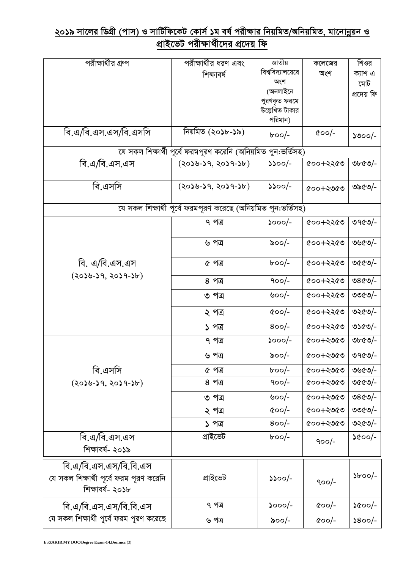# <u>২০১৯ সালের ডিগ্রী (পাস) ও সার্টিফিকেট কোর্স ১ম বর্ষ পরীক্ষার নিয়মিত/অনিয়মিত, মানোন্নয়ন ও</u><br>প্রাইভেট পরীক্ষার্থীদের প্রদেয় ফি

| পরীক্ষার্থীর গ্রুপ                                            | পরীক্ষার্থীর ধরণ এবং                                          | জাতীয়                   | কলেজের        | শিওর           |  |  |
|---------------------------------------------------------------|---------------------------------------------------------------|--------------------------|---------------|----------------|--|--|
|                                                               | শিক্ষাবর্ষ                                                    | বিশ্ববিদ্যালয়েরে        | অংশ           | ক্যাশ এ        |  |  |
|                                                               |                                                               | অংশ                      |               | মোট            |  |  |
|                                                               |                                                               | (অনলাইনে                 |               | প্ৰদেয় ফি     |  |  |
|                                                               |                                                               | পুরণকৃত ফরমে             |               |                |  |  |
|                                                               |                                                               | উল্লেখিত টাকার           |               |                |  |  |
|                                                               |                                                               | পরিমান)                  |               |                |  |  |
| বি.এ/বি.এস.এস/বি.এসসি                                         | নিয়মিত (২০১৮-১৯)                                             | $b$ 00/-                 | $\alpha$ oo/- | ১৩০০/-         |  |  |
| যে সকল শিক্ষার্থী পূর্বে ফরমপূরণ করেনি (অনিয়মিত পুন:ভর্তিসহ) |                                                               |                          |               |                |  |  |
| বি.এ/বি.এস.এস                                                 | $(2058-59, 2059-56)$                                          | $\mathcal{V}^{\text{2}}$ | ৫০০+২২৫৩      | ৩৮৫৩/-         |  |  |
| বি.এসসি                                                       | $(2058-59, 2059-56)$                                          | $\mathcal{V}^{\text{2}}$ | $0005 + 000$  | ৩৯৫৩/-         |  |  |
|                                                               | যে সকল শিক্ষার্থী পূর্বে ফরমপূরণ করেছে (অনিয়মিত পুন:ভর্তিসহ) |                          |               |                |  |  |
|                                                               | ৭ পত্র                                                        | $5000/-$                 | ৫০০+২২৫৩      | ৩৭৫৩/-         |  |  |
|                                                               |                                                               |                          |               |                |  |  |
|                                                               | ৬ পত্ৰ                                                        | ৯০০/-                    | ৫০০+২২৫৩      | ৩৬৫৩/-         |  |  |
| বি. এ/বি.এস.এস                                                | ৫ পত্র                                                        | $b$ oo/-                 | ৫০০+২২৫৩      | ৩৫৫৩/-         |  |  |
| $(2058-59, 2059-56)$                                          | ৪ পত্র                                                        | $900/-$                  | ৫০০+২২৫৩      | ৩৪৫৩/-         |  |  |
|                                                               | ৩ পত্র                                                        | ৬০০/-                    | ৫০০+২২৫৩      | ৩৩৫৩/-         |  |  |
|                                                               | ২ পত্ৰ                                                        | $\alpha$ oo/-            | ৫০০+২২৫৩      | ৩২৫৩/-         |  |  |
|                                                               | ১ পত্র                                                        | $800/-$                  | ৫০০+২২৫৩      | ৩১৫৩/-         |  |  |
|                                                               | ৭ পত্ৰ                                                        | ১০০০/-                   | ৫০০+২৩৫৩      | ৩৮৫৩/-         |  |  |
|                                                               | ৬ পত্ৰ                                                        | ৯০০/-                    | ৫০০+২৩৫৩      | ৩৭৫৩/-         |  |  |
| বি.এসসি                                                       | ৫ পত্ৰ                                                        | $b$ oo/-                 | ৫০০+২৩৫৩      | ৩৬৫৩/-         |  |  |
| $(2058-59, 2059-56)$                                          | ৪ পত্র                                                        | $900/-$                  | ৫০০+২৩৫৩      | ৩৫৫৩/-         |  |  |
|                                                               | ৩ পত্র                                                        | ৬০০/-                    | ৫০০+২৩৫৩      | ৩৪৫৩/-         |  |  |
|                                                               | ২ পত্ৰ                                                        | $\alpha$ oo/-            | ৫০০+২৩৫৩      | ৩৩৫৩/-         |  |  |
|                                                               | ১ পত্ৰ                                                        | $800/-$                  | ৫০০+২৩৫৩      | ৩২৫৩/-         |  |  |
| বি.এ/বি.এস.এস                                                 | প্ৰাইভেট                                                      | $b$ oo/-                 | $900/-$       | ১৫০০/-         |  |  |
| শিক্ষাবর্ষ- ২০১৯                                              |                                                               |                          |               |                |  |  |
| বি.এ/বি.এস.এস/বি.বি.এস                                        |                                                               |                          |               |                |  |  |
| যে সকল শিক্ষাৰ্থী পূৰ্বে ফরম পূরণ করেনি                       | প্ৰাইভেট                                                      | ১১০০/-                   |               | $\delta$ boo/- |  |  |
| শিক্ষাবৰ্ষ- ২০১৮                                              |                                                               |                          | $900/-$       |                |  |  |
|                                                               |                                                               |                          |               |                |  |  |
| বি.এ/বি.এস.এস/বি.বি.এস                                        | ৭ পত্র                                                        | $5000/-$                 | $\alpha$ oo/- | ১৫০০/-         |  |  |
| যে সকল শিক্ষার্থী পূর্বে ফরম পূরণ করেছে                       | ৬ পত্ৰ                                                        | ৯০০/-                    | $\alpha$ oo/- | $\delta$ 00/-  |  |  |